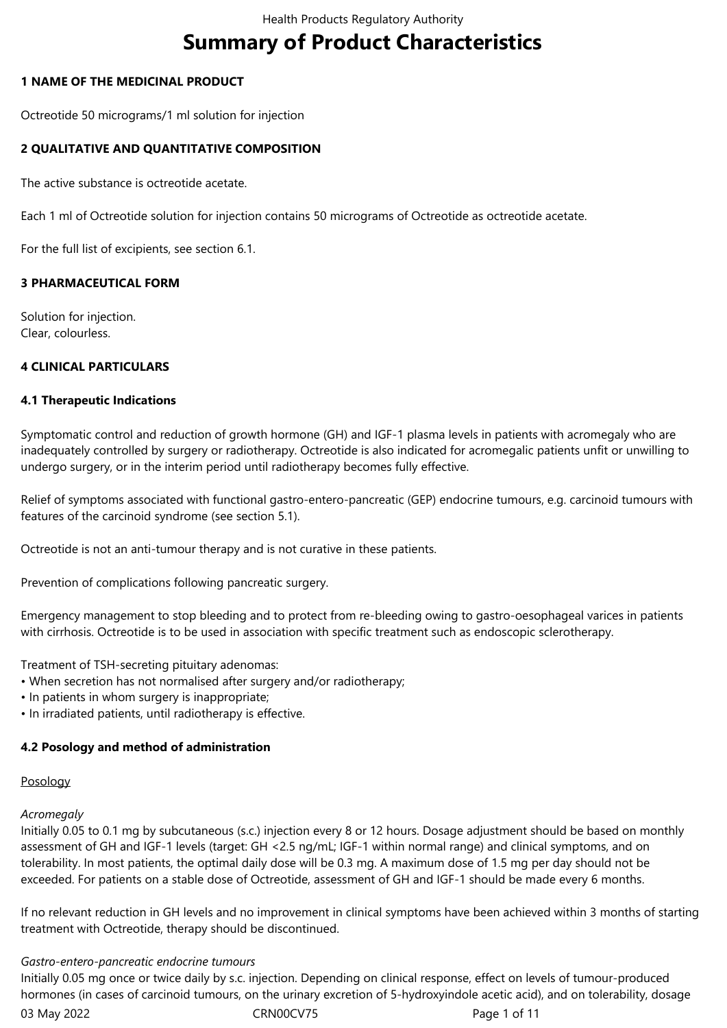# **Summary of Product Characteristics**

# **1 NAME OF THE MEDICINAL PRODUCT**

Octreotide 50 micrograms/1 ml solution for injection

# **2 QUALITATIVE AND QUANTITATIVE COMPOSITION**

The active substance is octreotide acetate.

Each 1 ml of Octreotide solution for injection contains 50 micrograms of Octreotide as octreotide acetate.

For the full list of excipients, see section 6.1.

## **3 PHARMACEUTICAL FORM**

Solution for injection. Clear, colourless.

# **4 CLINICAL PARTICULARS**

## **4.1 Therapeutic Indications**

Symptomatic control and reduction of growth hormone (GH) and IGF-1 plasma levels in patients with acromegaly who are inadequately controlled by surgery or radiotherapy. Octreotide is also indicated for acromegalic patients unfit or unwilling to undergo surgery, or in the interim period until radiotherapy becomes fully effective.

Relief of symptoms associated with functional gastro-entero-pancreatic (GEP) endocrine tumours, e.g. carcinoid tumours with features of the carcinoid syndrome (see section 5.1).

Octreotide is not an anti-tumour therapy and is not curative in these patients.

Prevention of complications following pancreatic surgery.

Emergency management to stop bleeding and to protect from re-bleeding owing to gastro-oesophageal varices in patients with cirrhosis. Octreotide is to be used in association with specific treatment such as endoscopic sclerotherapy.

Treatment of TSH-secreting pituitary adenomas:

- When secretion has not normalised after surgery and/or radiotherapy;
- In patients in whom surgery is inappropriate;
- In irradiated patients, until radiotherapy is effective.

## **4.2 Posology and method of administration**

## Posology

## *Acromegaly*

Initially 0.05 to 0.1 mg by subcutaneous (s.c.) injection every 8 or 12 hours. Dosage adjustment should be based on monthly assessment of GH and IGF-1 levels (target: GH <2.5 ng/mL; IGF-1 within normal range) and clinical symptoms, and on tolerability. In most patients, the optimal daily dose will be 0.3 mg. A maximum dose of 1.5 mg per day should not be exceeded. For patients on a stable dose of Octreotide, assessment of GH and IGF-1 should be made every 6 months.

If no relevant reduction in GH levels and no improvement in clinical symptoms have been achieved within 3 months of starting treatment with Octreotide, therapy should be discontinued.

## *Gastro-entero-pancreatic endocrine tumours*

03 May 2022 **CRN00CV75** CRN00CV75 Page 1 of 11 Initially 0.05 mg once or twice daily by s.c. injection. Depending on clinical response, effect on levels of tumour-produced hormones (in cases of carcinoid tumours, on the urinary excretion of 5-hydroxyindole acetic acid), and on tolerability, dosage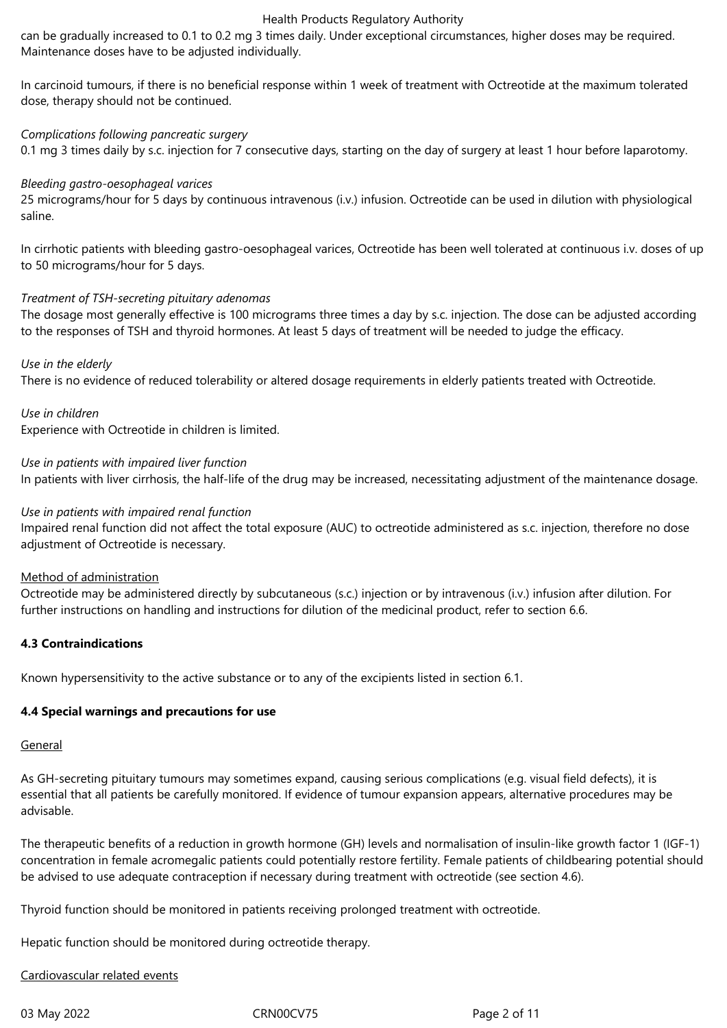can be gradually increased to 0.1 to 0.2 mg 3 times daily. Under exceptional circumstances, higher doses may be required. Maintenance doses have to be adjusted individually.

In carcinoid tumours, if there is no beneficial response within 1 week of treatment with Octreotide at the maximum tolerated dose, therapy should not be continued.

# *Complications following pancreatic surgery*

0.1 mg 3 times daily by s.c. injection for 7 consecutive days, starting on the day of surgery at least 1 hour before laparotomy.

## *Bleeding gastro-oesophageal varices*

25 micrograms/hour for 5 days by continuous intravenous (i.v.) infusion. Octreotide can be used in dilution with physiological saline.

In cirrhotic patients with bleeding gastro-oesophageal varices, Octreotide has been well tolerated at continuous i.v. doses of up to 50 micrograms/hour for 5 days.

## *Treatment of TSH-secreting pituitary adenomas*

The dosage most generally effective is 100 micrograms three times a day by s.c. injection. The dose can be adjusted according to the responses of TSH and thyroid hormones. At least 5 days of treatment will be needed to judge the efficacy.

*Use in the elderly*

There is no evidence of reduced tolerability or altered dosage requirements in elderly patients treated with Octreotide.

*Use in children*

Experience with Octreotide in children is limited.

*Use in patients with impaired liver function*

In patients with liver cirrhosis, the half-life of the drug may be increased, necessitating adjustment of the maintenance dosage.

### *Use in patients with impaired renal function*

Impaired renal function did not affect the total exposure (AUC) to octreotide administered as s.c. injection, therefore no dose adjustment of Octreotide is necessary.

## Method of administration

Octreotide may be administered directly by subcutaneous (s.c.) injection or by intravenous (i.v.) infusion after dilution. For further instructions on handling and instructions for dilution of the medicinal product, refer to section 6.6.

## **4.3 Contraindications**

Known hypersensitivity to the active substance or to any of the excipients listed in section 6.1.

## **4.4 Special warnings and precautions for use**

#### General

As GH-secreting pituitary tumours may sometimes expand, causing serious complications (e.g. visual field defects), it is essential that all patients be carefully monitored. If evidence of tumour expansion appears, alternative procedures may be advisable.

The therapeutic benefits of a reduction in growth hormone (GH) levels and normalisation of insulin-like growth factor 1 (IGF-1) concentration in female acromegalic patients could potentially restore fertility. Female patients of childbearing potential should be advised to use adequate contraception if necessary during treatment with octreotide (see section 4.6).

Thyroid function should be monitored in patients receiving prolonged treatment with octreotide.

Hepatic function should be monitored during octreotide therapy.

## Cardiovascular related events

03 May 2022 CRN00CV75 CRN00CV75 Page 2 of 11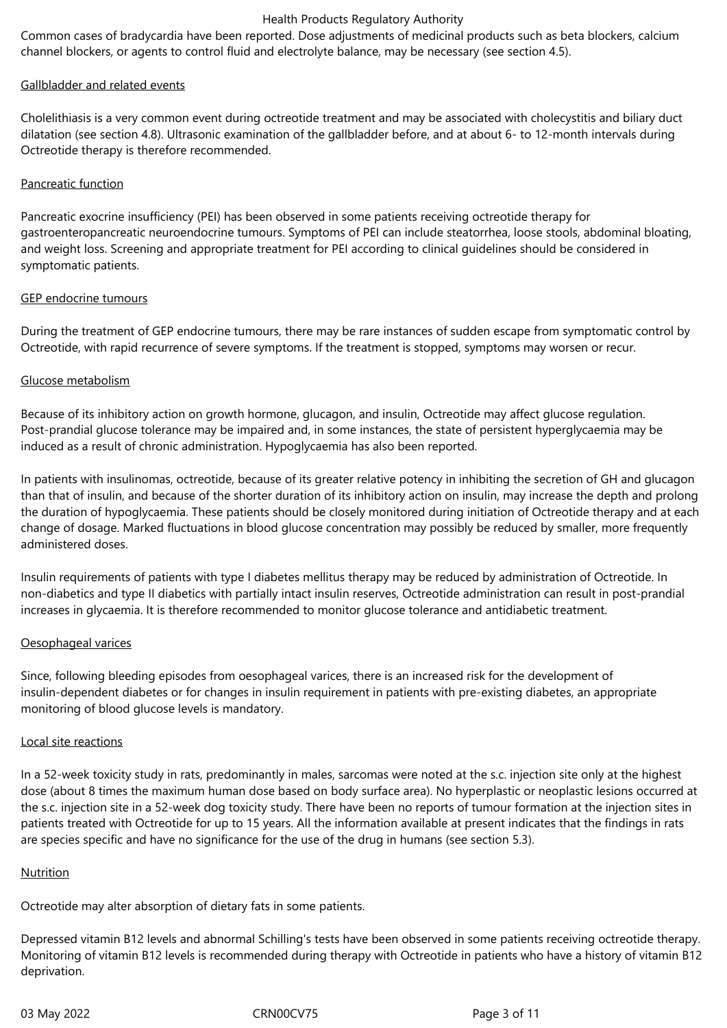Common cases of bradycardia have been reported. Dose adjustments of medicinal products such as beta blockers, calcium channel blockers, or agents to control fluid and electrolyte balance, may be necessary (see section 4.5).

## Gallbladder and related events

Cholelithiasis is a very common event during octreotide treatment and may be associated with cholecystitis and biliary duct dilatation (see section 4.8). Ultrasonic examination of the gallbladder before, and at about 6- to 12-month intervals during Octreotide therapy is therefore recommended.

# Pancreatic function

Pancreatic exocrine insufficiency (PEI) has been observed in some patients receiving octreotide therapy for gastroenteropancreatic neuroendocrine tumours. Symptoms of PEI can include steatorrhea, loose stools, abdominal bloating, and weight loss. Screening and appropriate treatment for PEI according to clinical guidelines should be considered in symptomatic patients.

## GEP endocrine tumours

During the treatment of GEP endocrine tumours, there may be rare instances of sudden escape from symptomatic control by Octreotide, with rapid recurrence of severe symptoms. If the treatment is stopped, symptoms may worsen or recur.

# Glucose metabolism

Because of its inhibitory action on growth hormone, glucagon, and insulin, Octreotide may affect glucose regulation. Post-prandial glucose tolerance may be impaired and, in some instances, the state of persistent hyperglycaemia may be induced as a result of chronic administration. Hypoglycaemia has also been reported.

In patients with insulinomas, octreotide, because of its greater relative potency in inhibiting the secretion of GH and glucagon than that of insulin, and because of the shorter duration of its inhibitory action on insulin, may increase the depth and prolong the duration of hypoglycaemia. These patients should be closely monitored during initiation of Octreotide therapy and at each change of dosage. Marked fluctuations in blood glucose concentration may possibly be reduced by smaller, more frequently administered doses.

Insulin requirements of patients with type I diabetes mellitus therapy may be reduced by administration of Octreotide. In non-diabetics and type II diabetics with partially intact insulin reserves, Octreotide administration can result in post-prandial increases in glycaemia. It is therefore recommended to monitor glucose tolerance and antidiabetic treatment.

## Oesophageal varices

Since, following bleeding episodes from oesophageal varices, there is an increased risk for the development of insulin-dependent diabetes or for changes in insulin requirement in patients with pre-existing diabetes, an appropriate monitoring of blood glucose levels is mandatory.

## Local site reactions

In a 52-week toxicity study in rats, predominantly in males, sarcomas were noted at the s.c. injection site only at the highest dose (about 8 times the maximum human dose based on body surface area). No hyperplastic or neoplastic lesions occurred at the s.c. injection site in a 52-week dog toxicity study. There have been no reports of tumour formation at the injection sites in patients treated with Octreotide for up to 15 years. All the information available at present indicates that the findings in rats are species specific and have no significance for the use of the drug in humans (see section 5.3).

## Nutrition

Octreotide may alter absorption of dietary fats in some patients.

Depressed vitamin B12 levels and abnormal Schilling's tests have been observed in some patients receiving octreotide therapy. Monitoring of vitamin B12 levels is recommended during therapy with Octreotide in patients who have a history of vitamin B12 deprivation.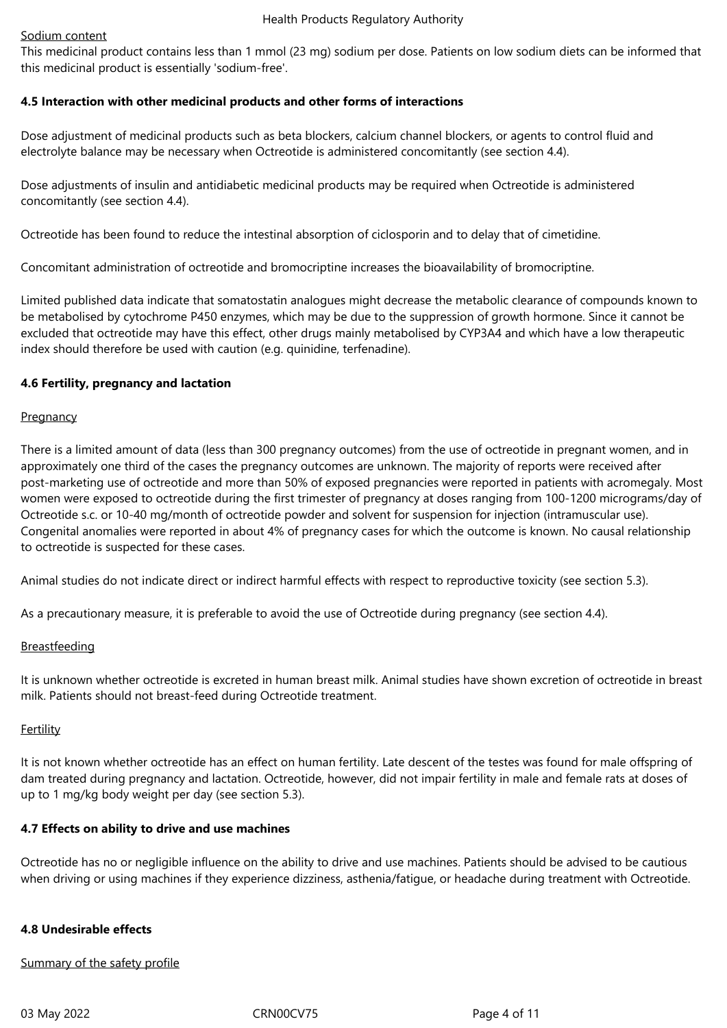#### Sodium content

This medicinal product contains less than 1 mmol (23 mg) sodium per dose. Patients on low sodium diets can be informed that this medicinal product is essentially 'sodium-free'.

# **4.5 Interaction with other medicinal products and other forms of interactions**

Dose adjustment of medicinal products such as beta blockers, calcium channel blockers, or agents to control fluid and electrolyte balance may be necessary when Octreotide is administered concomitantly (see section 4.4).

Dose adjustments of insulin and antidiabetic medicinal products may be required when Octreotide is administered concomitantly (see section 4.4).

Octreotide has been found to reduce the intestinal absorption of ciclosporin and to delay that of cimetidine.

Concomitant administration of octreotide and bromocriptine increases the bioavailability of bromocriptine.

Limited published data indicate that somatostatin analogues might decrease the metabolic clearance of compounds known to be metabolised by cytochrome P450 enzymes, which may be due to the suppression of growth hormone. Since it cannot be excluded that octreotide may have this effect, other drugs mainly metabolised by CYP3A4 and which have a low therapeutic index should therefore be used with caution (e.g. quinidine, terfenadine).

## **4.6 Fertility, pregnancy and lactation**

## **Pregnancy**

There is a limited amount of data (less than 300 pregnancy outcomes) from the use of octreotide in pregnant women, and in approximately one third of the cases the pregnancy outcomes are unknown. The majority of reports were received after post-marketing use of octreotide and more than 50% of exposed pregnancies were reported in patients with acromegaly. Most women were exposed to octreotide during the first trimester of pregnancy at doses ranging from 100-1200 micrograms/day of Octreotide s.c. or 10-40 mg/month of octreotide powder and solvent for suspension for injection (intramuscular use). Congenital anomalies were reported in about 4% of pregnancy cases for which the outcome is known. No causal relationship to octreotide is suspected for these cases.

Animal studies do not indicate direct or indirect harmful effects with respect to reproductive toxicity (see section 5.3).

As a precautionary measure, it is preferable to avoid the use of Octreotide during pregnancy (see section 4.4).

## **Breastfeeding**

It is unknown whether octreotide is excreted in human breast milk. Animal studies have shown excretion of octreotide in breast milk. Patients should not breast-feed during Octreotide treatment.

## Fertility

It is not known whether octreotide has an effect on human fertility. Late descent of the testes was found for male offspring of dam treated during pregnancy and lactation. Octreotide, however, did not impair fertility in male and female rats at doses of up to 1 mg/kg body weight per day (see section 5.3).

## **4.7 Effects on ability to drive and use machines**

Octreotide has no or negligible influence on the ability to drive and use machines. Patients should be advised to be cautious when driving or using machines if they experience dizziness, asthenia/fatigue, or headache during treatment with Octreotide.

# **4.8 Undesirable effects**

Summary of the safety profile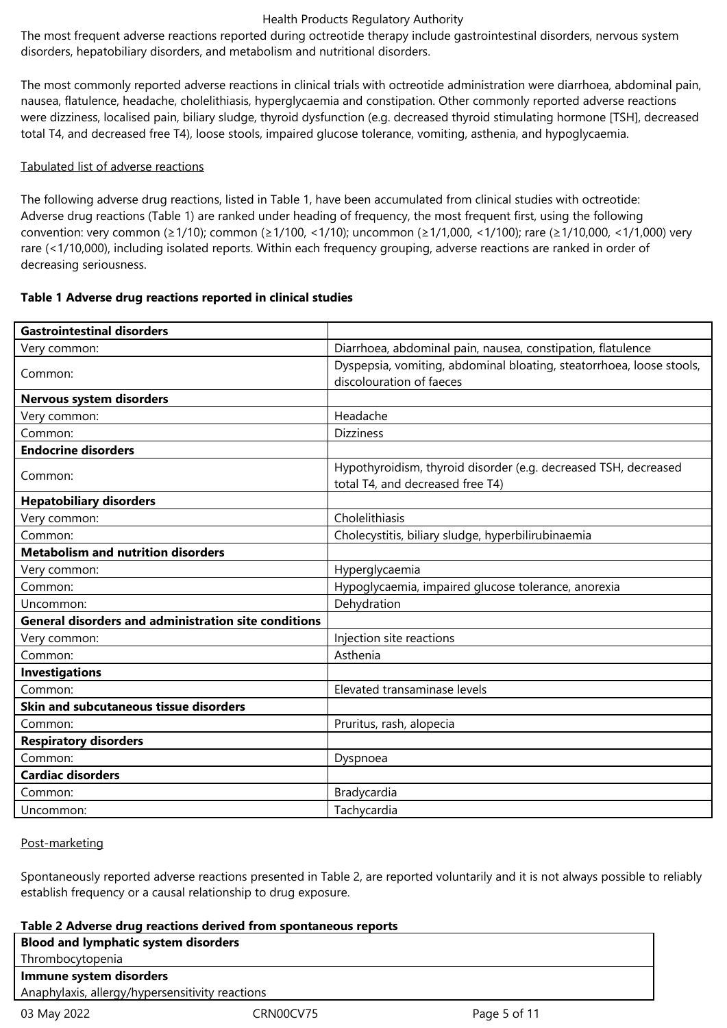The most frequent adverse reactions reported during octreotide therapy include gastrointestinal disorders, nervous system disorders, hepatobiliary disorders, and metabolism and nutritional disorders.

The most commonly reported adverse reactions in clinical trials with octreotide administration were diarrhoea, abdominal pain, nausea, flatulence, headache, cholelithiasis, hyperglycaemia and constipation. Other commonly reported adverse reactions were dizziness, localised pain, biliary sludge, thyroid dysfunction (e.g. decreased thyroid stimulating hormone [TSH], decreased total T4, and decreased free T4), loose stools, impaired glucose tolerance, vomiting, asthenia, and hypoglycaemia.

# Tabulated list of adverse reactions

The following adverse drug reactions, listed in Table 1, have been accumulated from clinical studies with octreotide: Adverse drug reactions (Table 1) are ranked under heading of frequency, the most frequent first, using the following convention: very common (≥1/10); common (≥1/100, <1/10); uncommon (≥1/1,000, <1/100); rare (≥1/10,000, <1/1,000) very rare (<1/10,000), including isolated reports. Within each frequency grouping, adverse reactions are ranked in order of decreasing seriousness.

# **Table 1 Adverse drug reactions reported in clinical studies**

| <b>Gastrointestinal disorders</b>                           |                                                                                                     |  |  |
|-------------------------------------------------------------|-----------------------------------------------------------------------------------------------------|--|--|
| Very common:                                                | Diarrhoea, abdominal pain, nausea, constipation, flatulence                                         |  |  |
| Common:                                                     | Dyspepsia, vomiting, abdominal bloating, steatorrhoea, loose stools,<br>discolouration of faeces    |  |  |
| Nervous system disorders                                    |                                                                                                     |  |  |
| Very common:                                                | Headache                                                                                            |  |  |
| Common:                                                     | <b>Dizziness</b>                                                                                    |  |  |
| <b>Endocrine disorders</b>                                  |                                                                                                     |  |  |
| Common:                                                     | Hypothyroidism, thyroid disorder (e.g. decreased TSH, decreased<br>total T4, and decreased free T4) |  |  |
| <b>Hepatobiliary disorders</b>                              |                                                                                                     |  |  |
| Very common:                                                | Cholelithiasis                                                                                      |  |  |
| Common:                                                     | Cholecystitis, biliary sludge, hyperbilirubinaemia                                                  |  |  |
| <b>Metabolism and nutrition disorders</b>                   |                                                                                                     |  |  |
| Very common:                                                | Hyperglycaemia                                                                                      |  |  |
| Common:                                                     | Hypoglycaemia, impaired glucose tolerance, anorexia                                                 |  |  |
| Uncommon:                                                   | Dehydration                                                                                         |  |  |
| <b>General disorders and administration site conditions</b> |                                                                                                     |  |  |
| Very common:                                                | Injection site reactions                                                                            |  |  |
| Common:                                                     | Asthenia                                                                                            |  |  |
| <b>Investigations</b>                                       |                                                                                                     |  |  |
| Common:                                                     | Elevated transaminase levels                                                                        |  |  |
| Skin and subcutaneous tissue disorders                      |                                                                                                     |  |  |
| Common:                                                     | Pruritus, rash, alopecia                                                                            |  |  |
| <b>Respiratory disorders</b>                                |                                                                                                     |  |  |
| Common:                                                     | Dyspnoea                                                                                            |  |  |
| <b>Cardiac disorders</b>                                    |                                                                                                     |  |  |
| Common:                                                     | Bradycardia                                                                                         |  |  |
| Uncommon:                                                   | Tachycardia                                                                                         |  |  |

## Post-marketing

Spontaneously reported adverse reactions presented in Table 2, are reported voluntarily and it is not always possible to reliably establish frequency or a causal relationship to drug exposure.

| Table 2 Adverse drug reactions derived from spontaneous reports |           |              |  |
|-----------------------------------------------------------------|-----------|--------------|--|
| <b>Blood and lymphatic system disorders</b>                     |           |              |  |
| Thrombocytopenia                                                |           |              |  |
| Immune system disorders                                         |           |              |  |
| Anaphylaxis, allergy/hypersensitivity reactions                 |           |              |  |
| 03 May 2022                                                     | CRN00CV75 | Page 5 of 11 |  |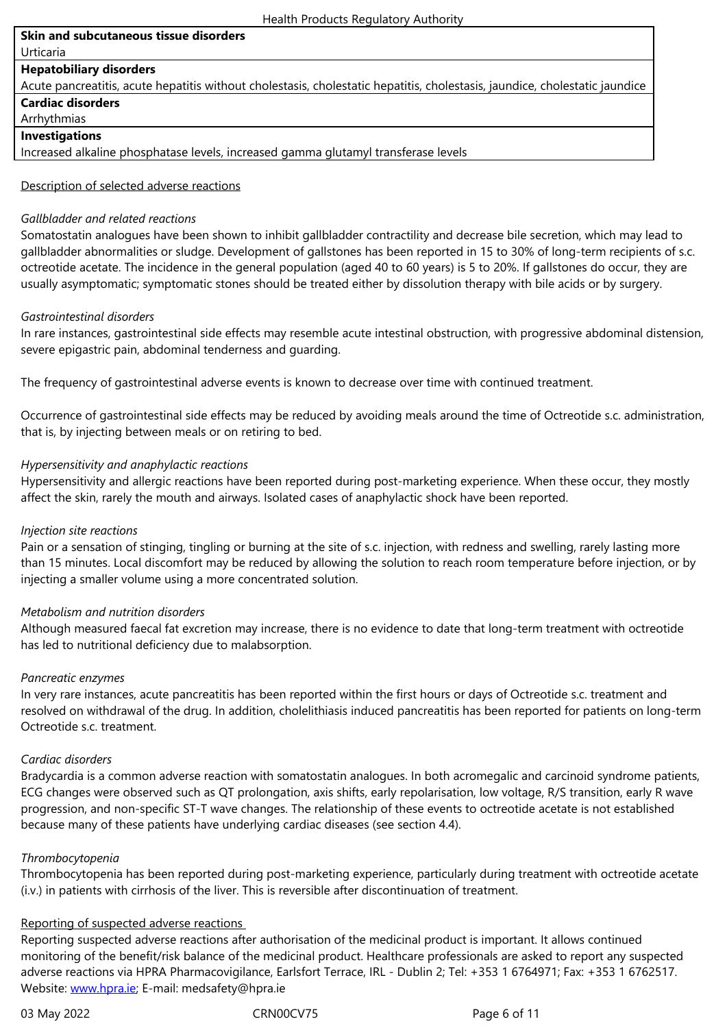#### **Hepatobiliary disorders**

Acute pancreatitis, acute hepatitis without cholestasis, cholestatic hepatitis, cholestasis, jaundice, cholestatic jaundice **Cardiac disorders**

## Arrhythmias

# **Investigations**

Increased alkaline phosphatase levels, increased gamma glutamyl transferase levels

### Description of selected adverse reactions

#### *Gallbladder and related reactions*

Somatostatin analogues have been shown to inhibit gallbladder contractility and decrease bile secretion, which may lead to gallbladder abnormalities or sludge. Development of gallstones has been reported in 15 to 30% of long-term recipients of s.c. octreotide acetate. The incidence in the general population (aged 40 to 60 years) is 5 to 20%. If gallstones do occur, they are usually asymptomatic; symptomatic stones should be treated either by dissolution therapy with bile acids or by surgery.

## *Gastrointestinal disorders*

In rare instances, gastrointestinal side effects may resemble acute intestinal obstruction, with progressive abdominal distension, severe epigastric pain, abdominal tenderness and guarding.

The frequency of gastrointestinal adverse events is known to decrease over time with continued treatment.

Occurrence of gastrointestinal side effects may be reduced by avoiding meals around the time of Octreotide s.c. administration, that is, by injecting between meals or on retiring to bed.

#### *Hypersensitivity and anaphylactic reactions*

Hypersensitivity and allergic reactions have been reported during post-marketing experience. When these occur, they mostly affect the skin, rarely the mouth and airways. Isolated cases of anaphylactic shock have been reported.

#### *Injection site reactions*

Pain or a sensation of stinging, tingling or burning at the site of s.c. injection, with redness and swelling, rarely lasting more than 15 minutes. Local discomfort may be reduced by allowing the solution to reach room temperature before injection, or by injecting a smaller volume using a more concentrated solution.

## *Metabolism and nutrition disorders*

Although measured faecal fat excretion may increase, there is no evidence to date that long-term treatment with octreotide has led to nutritional deficiency due to malabsorption.

## *Pancreatic enzymes*

In very rare instances, acute pancreatitis has been reported within the first hours or days of Octreotide s.c. treatment and resolved on withdrawal of the drug. In addition, cholelithiasis induced pancreatitis has been reported for patients on long-term Octreotide s.c. treatment.

#### *Cardiac disorders*

Bradycardia is a common adverse reaction with somatostatin analogues. In both acromegalic and carcinoid syndrome patients, ECG changes were observed such as QT prolongation, axis shifts, early repolarisation, low voltage, R/S transition, early R wave progression, and non-specific ST-T wave changes. The relationship of these events to octreotide acetate is not established because many of these patients have underlying cardiac diseases (see section 4.4).

#### *Thrombocytopenia*

Thrombocytopenia has been reported during post-marketing experience, particularly during treatment with octreotide acetate (i.v.) in patients with cirrhosis of the liver. This is reversible after discontinuation of treatment.

## Reporting of suspected adverse reactions

Reporting suspected adverse reactions after authorisation of the medicinal product is important. It allows continued monitoring of the benefit/risk balance of the medicinal product. Healthcare professionals are asked to report any suspected adverse reactions via HPRA Pharmacovigilance, Earlsfort Terrace, IRL - Dublin 2; Tel: +353 1 6764971; Fax: +353 1 6762517. Website: www.hpra.ie; E-mail: medsafety@hpra.ie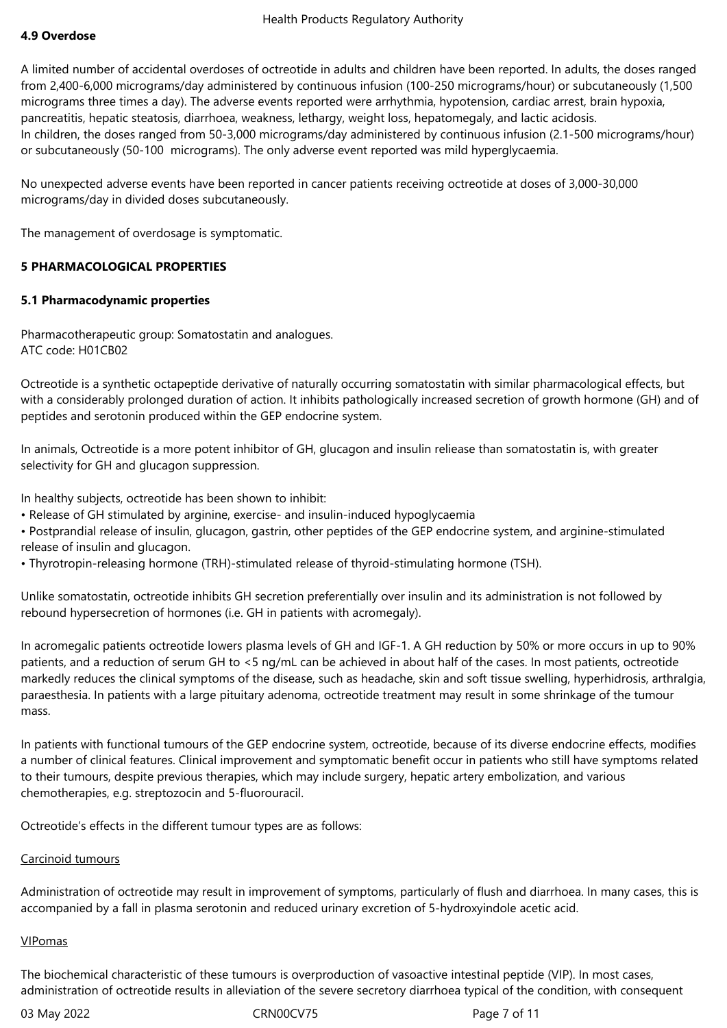# **4.9 Overdose**

A limited number of accidental overdoses of octreotide in adults and children have been reported. In adults, the doses ranged from 2,400-6,000 micrograms/day administered by continuous infusion (100-250 micrograms/hour) or subcutaneously (1,500 micrograms three times a day). The adverse events reported were arrhythmia, hypotension, cardiac arrest, brain hypoxia, pancreatitis, hepatic steatosis, diarrhoea, weakness, lethargy, weight loss, hepatomegaly, and lactic acidosis. In children, the doses ranged from 50-3,000 micrograms/day administered by continuous infusion (2.1-500 micrograms/hour) or subcutaneously (50-100 micrograms). The only adverse event reported was mild hyperglycaemia.

No unexpected adverse events have been reported in cancer patients receiving octreotide at doses of 3,000-30,000 micrograms/day in divided doses subcutaneously.

The management of overdosage is symptomatic.

## **5 PHARMACOLOGICAL PROPERTIES**

## **5.1 Pharmacodynamic properties**

Pharmacotherapeutic group: Somatostatin and analogues. ATC code: H01CB02

Octreotide is a synthetic octapeptide derivative of naturally occurring somatostatin with similar pharmacological effects, but with a considerably prolonged duration of action. It inhibits pathologically increased secretion of growth hormone (GH) and of peptides and serotonin produced within the GEP endocrine system.

In animals, Octreotide is a more potent inhibitor of GH, glucagon and insulin reliease than somatostatin is, with greater selectivity for GH and glucagon suppression.

In healthy subjects, octreotide has been shown to inhibit:

• Release of GH stimulated by arginine, exercise- and insulin-induced hypoglycaemia

• Postprandial release of insulin, glucagon, gastrin, other peptides of the GEP endocrine system, and arginine-stimulated release of insulin and glucagon.

• Thyrotropin-releasing hormone (TRH)-stimulated release of thyroid-stimulating hormone (TSH).

Unlike somatostatin, octreotide inhibits GH secretion preferentially over insulin and its administration is not followed by rebound hypersecretion of hormones (i.e. GH in patients with acromegaly).

In acromegalic patients octreotide lowers plasma levels of GH and IGF-1. A GH reduction by 50% or more occurs in up to 90% patients, and a reduction of serum GH to <5 ng/mL can be achieved in about half of the cases. In most patients, octreotide markedly reduces the clinical symptoms of the disease, such as headache, skin and soft tissue swelling, hyperhidrosis, arthralgia, paraesthesia. In patients with a large pituitary adenoma, octreotide treatment may result in some shrinkage of the tumour mass.

In patients with functional tumours of the GEP endocrine system, octreotide, because of its diverse endocrine effects, modifies a number of clinical features. Clinical improvement and symptomatic benefit occur in patients who still have symptoms related to their tumours, despite previous therapies, which may include surgery, hepatic artery embolization, and various chemotherapies, e.g. streptozocin and 5-fluorouracil.

Octreotide's effects in the different tumour types are as follows:

## Carcinoid tumours

Administration of octreotide may result in improvement of symptoms, particularly of flush and diarrhoea. In many cases, this is accompanied by a fall in plasma serotonin and reduced urinary excretion of 5-hydroxyindole acetic acid.

## VIPomas

The biochemical characteristic of these tumours is overproduction of vasoactive intestinal peptide (VIP). In most cases, administration of octreotide results in alleviation of the severe secretory diarrhoea typical of the condition, with consequent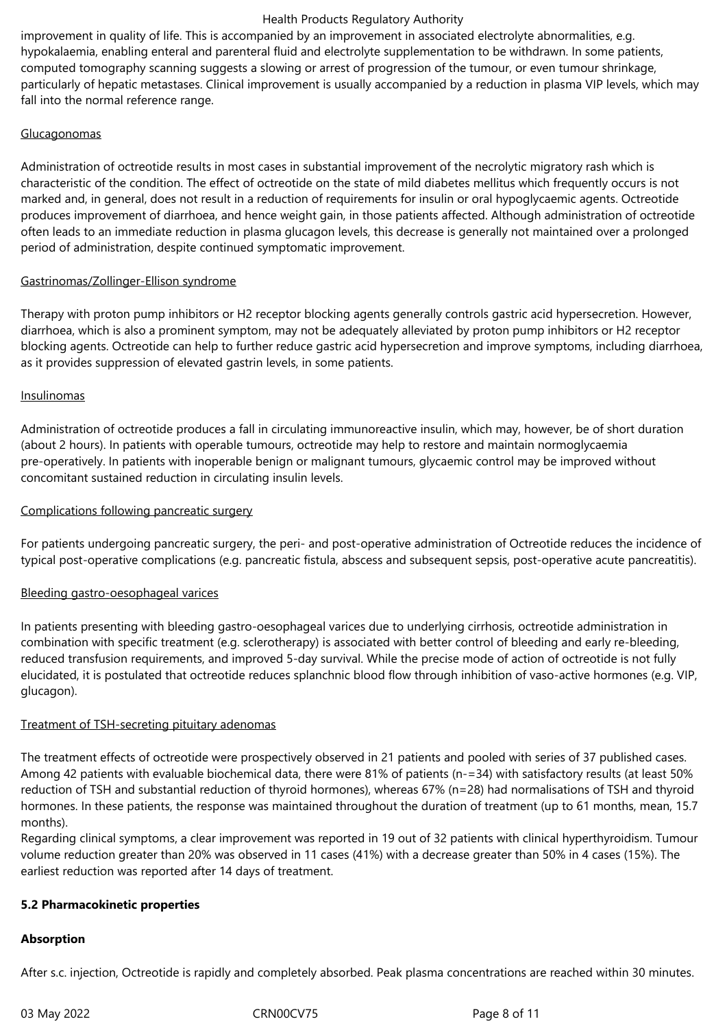improvement in quality of life. This is accompanied by an improvement in associated electrolyte abnormalities, e.g. hypokalaemia, enabling enteral and parenteral fluid and electrolyte supplementation to be withdrawn. In some patients, computed tomography scanning suggests a slowing or arrest of progression of the tumour, or even tumour shrinkage, particularly of hepatic metastases. Clinical improvement is usually accompanied by a reduction in plasma VIP levels, which may fall into the normal reference range.

# **Glucagonomas**

Administration of octreotide results in most cases in substantial improvement of the necrolytic migratory rash which is characteristic of the condition. The effect of octreotide on the state of mild diabetes mellitus which frequently occurs is not marked and, in general, does not result in a reduction of requirements for insulin or oral hypoglycaemic agents. Octreotide produces improvement of diarrhoea, and hence weight gain, in those patients affected. Although administration of octreotide often leads to an immediate reduction in plasma glucagon levels, this decrease is generally not maintained over a prolonged period of administration, despite continued symptomatic improvement.

# Gastrinomas/Zollinger-Ellison syndrome

Therapy with proton pump inhibitors or H2 receptor blocking agents generally controls gastric acid hypersecretion. However, diarrhoea, which is also a prominent symptom, may not be adequately alleviated by proton pump inhibitors or H2 receptor blocking agents. Octreotide can help to further reduce gastric acid hypersecretion and improve symptoms, including diarrhoea, as it provides suppression of elevated gastrin levels, in some patients.

# Insulinomas

Administration of octreotide produces a fall in circulating immunoreactive insulin, which may, however, be of short duration (about 2 hours). In patients with operable tumours, octreotide may help to restore and maintain normoglycaemia pre-operatively. In patients with inoperable benign or malignant tumours, glycaemic control may be improved without concomitant sustained reduction in circulating insulin levels.

# Complications following pancreatic surgery

For patients undergoing pancreatic surgery, the peri- and post-operative administration of Octreotide reduces the incidence of typical post-operative complications (e.g. pancreatic fistula, abscess and subsequent sepsis, post-operative acute pancreatitis).

# Bleeding gastro-oesophageal varices

In patients presenting with bleeding gastro-oesophageal varices due to underlying cirrhosis, octreotide administration in combination with specific treatment (e.g. sclerotherapy) is associated with better control of bleeding and early re-bleeding, reduced transfusion requirements, and improved 5-day survival. While the precise mode of action of octreotide is not fully elucidated, it is postulated that octreotide reduces splanchnic blood flow through inhibition of vaso-active hormones (e.g. VIP, glucagon).

## Treatment of TSH-secreting pituitary adenomas

The treatment effects of octreotide were prospectively observed in 21 patients and pooled with series of 37 published cases. Among 42 patients with evaluable biochemical data, there were 81% of patients (n-=34) with satisfactory results (at least 50% reduction of TSH and substantial reduction of thyroid hormones), whereas 67% (n=28) had normalisations of TSH and thyroid hormones. In these patients, the response was maintained throughout the duration of treatment (up to 61 months, mean, 15.7 months).

Regarding clinical symptoms, a clear improvement was reported in 19 out of 32 patients with clinical hyperthyroidism. Tumour volume reduction greater than 20% was observed in 11 cases (41%) with a decrease greater than 50% in 4 cases (15%). The earliest reduction was reported after 14 days of treatment.

## **5.2 Pharmacokinetic properties**

## **Absorption**

After s.c. injection, Octreotide is rapidly and completely absorbed. Peak plasma concentrations are reached within 30 minutes.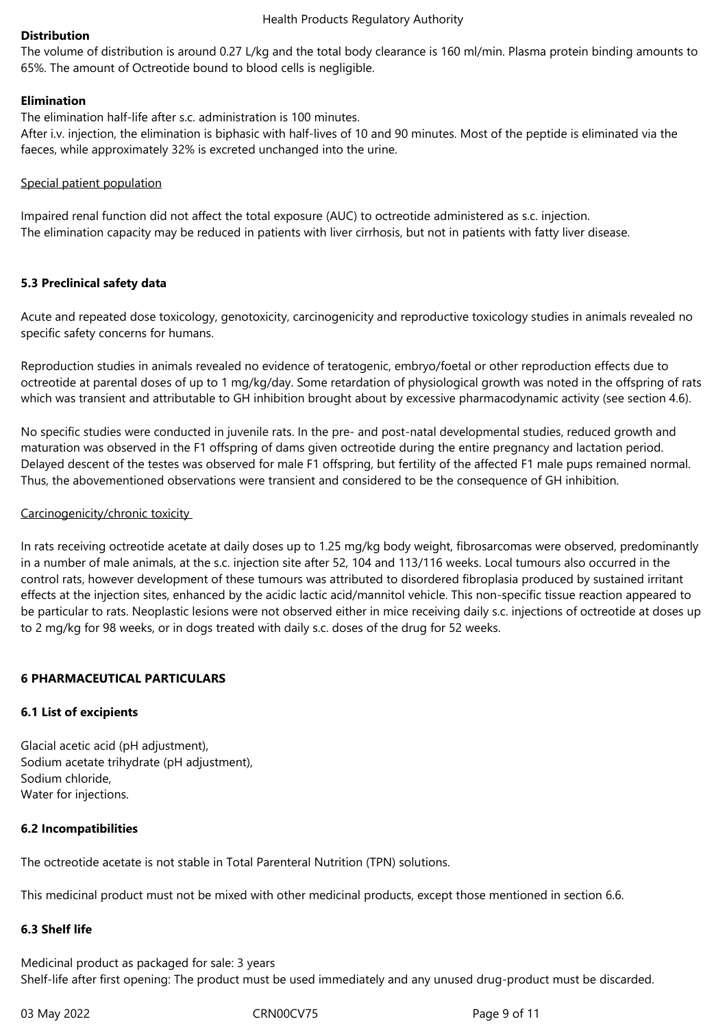### **Distribution**

The volume of distribution is around 0.27 L/kg and the total body clearance is 160 ml/min. Plasma protein binding amounts to 65%. The amount of Octreotide bound to blood cells is negligible.

### **Elimination**

The elimination half-life after s.c. administration is 100 minutes.

After i.v. injection, the elimination is biphasic with half-lives of 10 and 90 minutes. Most of the peptide is eliminated via the faeces, while approximately 32% is excreted unchanged into the urine.

#### Special patient population

Impaired renal function did not affect the total exposure (AUC) to octreotide administered as s.c. injection. The elimination capacity may be reduced in patients with liver cirrhosis, but not in patients with fatty liver disease.

#### **5.3 Preclinical safety data**

Acute and repeated dose toxicology, genotoxicity, carcinogenicity and reproductive toxicology studies in animals revealed no specific safety concerns for humans.

Reproduction studies in animals revealed no evidence of teratogenic, embryo/foetal or other reproduction effects due to octreotide at parental doses of up to 1 mg/kg/day. Some retardation of physiological growth was noted in the offspring of rats which was transient and attributable to GH inhibition brought about by excessive pharmacodynamic activity (see section 4.6).

No specific studies were conducted in juvenile rats. In the pre- and post-natal developmental studies, reduced growth and maturation was observed in the F1 offspring of dams given octreotide during the entire pregnancy and lactation period. Delayed descent of the testes was observed for male F1 offspring, but fertility of the affected F1 male pups remained normal. Thus, the abovementioned observations were transient and considered to be the consequence of GH inhibition.

#### Carcinogenicity/chronic toxicity

In rats receiving octreotide acetate at daily doses up to 1.25 mg/kg body weight, fibrosarcomas were observed, predominantly in a number of male animals, at the s.c. injection site after 52, 104 and 113/116 weeks. Local tumours also occurred in the control rats, however development of these tumours was attributed to disordered fibroplasia produced by sustained irritant effects at the injection sites, enhanced by the acidic lactic acid/mannitol vehicle. This non-specific tissue reaction appeared to be particular to rats. Neoplastic lesions were not observed either in mice receiving daily s.c. injections of octreotide at doses up to 2 mg/kg for 98 weeks, or in dogs treated with daily s.c. doses of the drug for 52 weeks.

## **6 PHARMACEUTICAL PARTICULARS**

## **6.1 List of excipients**

Glacial acetic acid (pH adjustment), Sodium acetate trihydrate (pH adjustment), Sodium chloride, Water for injections.

## **6.2 Incompatibilities**

The octreotide acetate is not stable in Total Parenteral Nutrition (TPN) solutions.

This medicinal product must not be mixed with other medicinal products, except those mentioned in section 6.6.

## **6.3 Shelf life**

Medicinal product as packaged for sale: 3 years Shelf-life after first opening: The product must be used immediately and any unused drug-product must be discarded.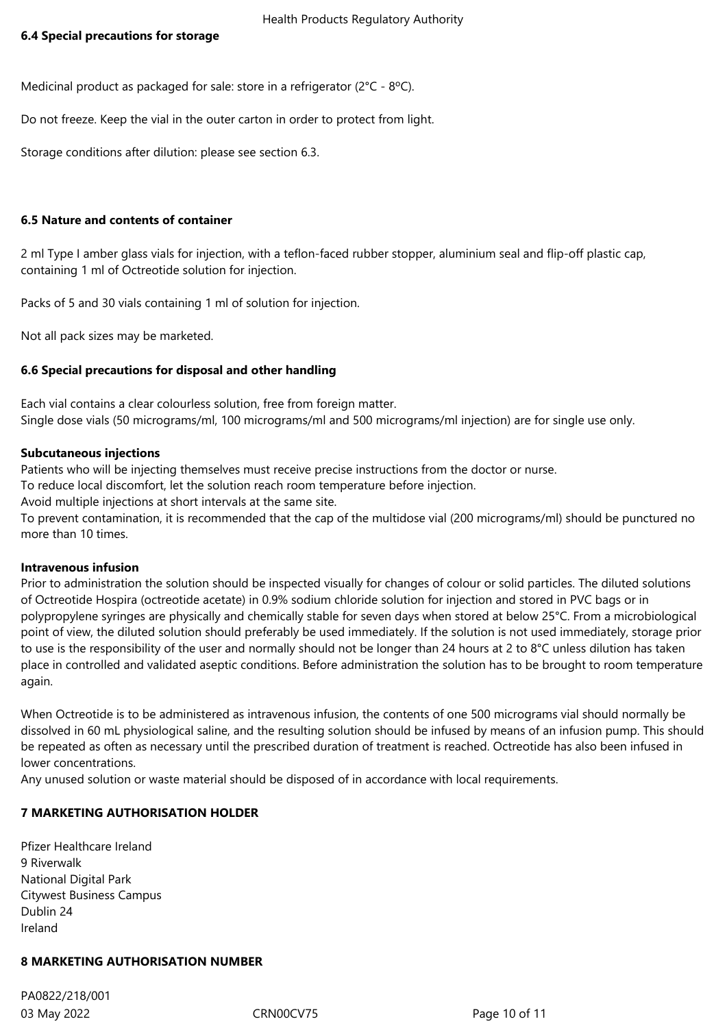Medicinal product as packaged for sale: store in a refrigerator (2°C - 8ºC).

Do not freeze. Keep the vial in the outer carton in order to protect from light.

Storage conditions after dilution: please see section 6.3.

# **6.5 Nature and contents of container**

2 ml Type I amber glass vials for injection, with a teflon-faced rubber stopper, aluminium seal and flip-off plastic cap, containing 1 ml of Octreotide solution for injection.

Packs of 5 and 30 vials containing 1 ml of solution for injection.

Not all pack sizes may be marketed.

# **6.6 Special precautions for disposal and other handling**

Each vial contains a clear colourless solution, free from foreign matter. Single dose vials (50 micrograms/ml, 100 micrograms/ml and 500 micrograms/ml injection) are for single use only.

# **Subcutaneous injections**

Patients who will be injecting themselves must receive precise instructions from the doctor or nurse.

To reduce local discomfort, let the solution reach room temperature before injection.

Avoid multiple injections at short intervals at the same site.

To prevent contamination, it is recommended that the cap of the multidose vial (200 micrograms/ml) should be punctured no more than 10 times.

## **Intravenous infusion**

Prior to administration the solution should be inspected visually for changes of colour or solid particles. The diluted solutions of Octreotide Hospira (octreotide acetate) in 0.9% sodium chloride solution for injection and stored in PVC bags or in polypropylene syringes are physically and chemically stable for seven days when stored at below 25°C. From a microbiological point of view, the diluted solution should preferably be used immediately. If the solution is not used immediately, storage prior to use is the responsibility of the user and normally should not be longer than 24 hours at 2 to 8°C unless dilution has taken place in controlled and validated aseptic conditions. Before administration the solution has to be brought to room temperature again.

When Octreotide is to be administered as intravenous infusion, the contents of one 500 micrograms vial should normally be dissolved in 60 mL physiological saline, and the resulting solution should be infused by means of an infusion pump. This should be repeated as often as necessary until the prescribed duration of treatment is reached. Octreotide has also been infused in lower concentrations.

Any unused solution or waste material should be disposed of in accordance with local requirements.

# **7 MARKETING AUTHORISATION HOLDER**

Pfizer Healthcare Ireland 9 Riverwalk National Digital Park Citywest Business Campus Dublin 24 Ireland

# **8 MARKETING AUTHORISATION NUMBER**

03 May 2022 CRN00CV75 Page 10 of 11 PA0822/218/001